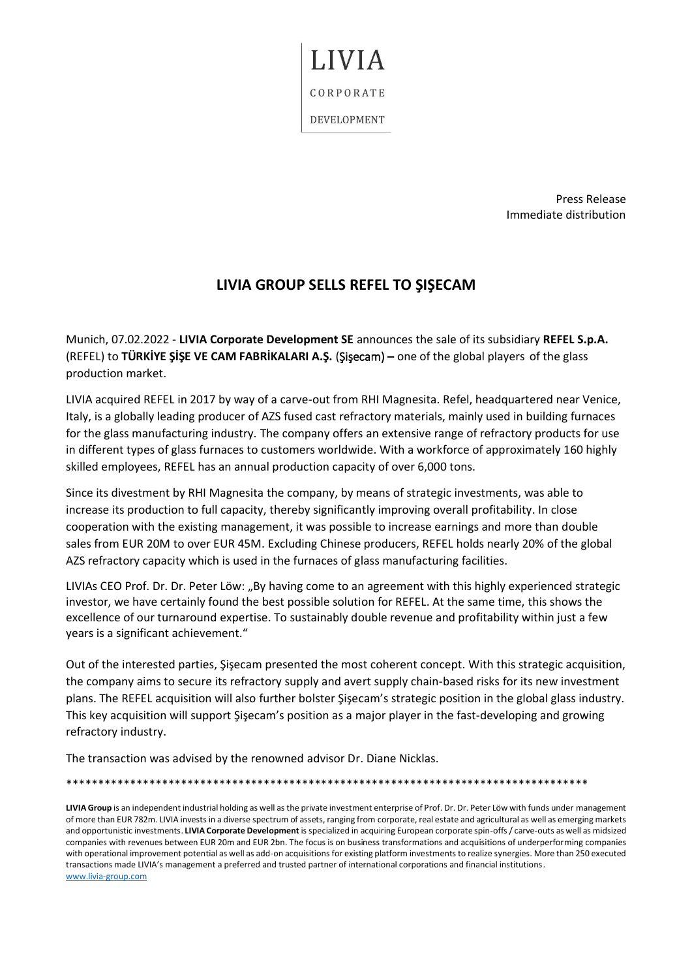CORPORATE

**I.IVIA** 

DEVELOPMENT

Press Release Immediate distribution

## **LIVIA GROUP SELLS REFEL TO ŞIŞECAM**

Munich, 07.02.2022 - **LIVIA Corporate Development SE** announces the sale of its subsidiary **REFEL S.p.A.** (REFEL) to **TÜRKİYE ŞİŞE VE CAM FABRİKALARI A.Ş.** (Şişecam) – one of the global players of the glass production market.

LIVIA acquired REFEL in 2017 by way of a carve-out from RHI Magnesita. Refel, headquartered near Venice, Italy, is a globally leading producer of AZS fused cast refractory materials, mainly used in building furnaces for the glass manufacturing industry. The company offers an extensive range of refractory products for use in different types of glass furnaces to customers worldwide. With a workforce of approximately 160 highly skilled employees, REFEL has an annual production capacity of over 6,000 tons.

Since its divestment by RHI Magnesita the company, by means of strategic investments, was able to increase its production to full capacity, thereby significantly improving overall profitability. In close cooperation with the existing management, it was possible to increase earnings and more than double sales from EUR 20M to over EUR 45M. Excluding Chinese producers, REFEL holds nearly 20% of the global AZS refractory capacity which is used in the furnaces of glass manufacturing facilities.

LIVIAs CEO Prof. Dr. Dr. Peter Löw: "By having come to an agreement with this highly experienced strategic investor, we have certainly found the best possible solution for REFEL. At the same time, this shows the excellence of our turnaround expertise. To sustainably double revenue and profitability within just a few years is a significant achievement."

Out of the interested parties, Şişecam presented the most coherent concept. With this strategic acquisition, the company aims to secure its refractory supply and avert supply chain-based risks for its new investment plans. The REFEL acquisition will also further bolster Şişecam's strategic position in the global glass industry. This key acquisition will support Şişecam's position as a major player in the fast-developing and growing refractory industry.

The transaction was advised by the renowned advisor Dr. Diane Nicklas.

\*\*\*\*\*\*\*\*\*\*\*\*\*\*\*\*\*\*\*\*\*\*\*\*\*\*\*\*\*\*\*\*\*\*\*\*\*\*\*\*\*\*\*\*\*\*\*\*\*\*\*\*\*\*\*\*\*\*\*\*\*\*\*\*\*\*\*\*\*\*\*\*\*\*\*\*\*\*\*\*\*\*

**LIVIA Group** is an independent industrial holding as well as the private investment enterprise of Prof. Dr. Dr. Peter Löw with funds under management of more than EUR 782m. LIVIA invests in a diverse spectrum of assets, ranging from corporate, real estate and agricultural as well as emerging markets and opportunistic investments. **LIVIA Corporate Development** is specialized in acquiring European corporate spin-offs / carve-outs as well as midsized companies with revenues between EUR 20m and EUR 2bn. The focus is on business transformations and acquisitions of underperforming companies with operational improvement potential as well as add-on acquisitions for existing platform investments to realize synergies. More than 250 executed transactions made LIVIA's management a preferred and trusted partner of international corporations and financial institutions. [www.livia-group.com](file:///C:/Users/oberti/Hitachi/Rebranding/Comunicazione/Comunicato%20Stampa/www.livia-group.com)